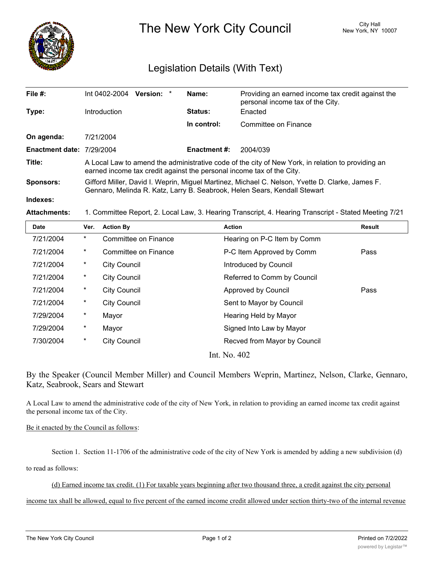

The New York City Council New York, NY 10007

## Legislation Details (With Text)

| File $#$ :                | Version: *<br>Int 0402-2004                                                                                                                                                  | Name:               | Providing an earned income tax credit against the<br>personal income tax of the City. |  |  |
|---------------------------|------------------------------------------------------------------------------------------------------------------------------------------------------------------------------|---------------------|---------------------------------------------------------------------------------------|--|--|
| Type:                     | Introduction                                                                                                                                                                 | <b>Status:</b>      | Enacted                                                                               |  |  |
|                           |                                                                                                                                                                              | In control:         | Committee on Finance                                                                  |  |  |
| On agenda:                | 7/21/2004                                                                                                                                                                    |                     |                                                                                       |  |  |
| Enactment date: 7/29/2004 |                                                                                                                                                                              | <b>Enactment #:</b> | 2004/039                                                                              |  |  |
| Title:                    | A Local Law to amend the administrative code of the city of New York, in relation to providing an<br>earned income tax credit against the personal income tax of the City.   |                     |                                                                                       |  |  |
| Sponsors:                 | Gifford Miller, David I. Weprin, Miguel Martinez, Michael C. Nelson, Yvette D. Clarke, James F.<br>Gennaro, Melinda R. Katz, Larry B. Seabrook, Helen Sears, Kendall Stewart |                     |                                                                                       |  |  |
| Indexes:                  |                                                                                                                                                                              |                     |                                                                                       |  |  |
|                           |                                                                                                                                                                              |                     |                                                                                       |  |  |

**Attachments:** 1. Committee Report, 2. Local Law, 3. Hearing Transcript, 4. Hearing Transcript - Stated Meeting 7/21

| Date      | Ver.     | <b>Action By</b>     | <b>Action</b>                | <b>Result</b> |
|-----------|----------|----------------------|------------------------------|---------------|
| 7/21/2004 | $\ast$   | Committee on Finance | Hearing on P-C Item by Comm  |               |
| 7/21/2004 | $^\star$ | Committee on Finance | P-C Item Approved by Comm    | Pass          |
| 7/21/2004 | $^\star$ | <b>City Council</b>  | Introduced by Council        |               |
| 7/21/2004 | $^\ast$  | <b>City Council</b>  | Referred to Comm by Council  |               |
| 7/21/2004 | $^\star$ | <b>City Council</b>  | Approved by Council          | Pass          |
| 7/21/2004 | $\star$  | <b>City Council</b>  | Sent to Mayor by Council     |               |
| 7/29/2004 | $\ast$   | Mayor                | Hearing Held by Mayor        |               |
| 7/29/2004 | $^\ast$  | Mayor                | Signed Into Law by Mayor     |               |
| 7/30/2004 | $\ast$   | <b>City Council</b>  | Recved from Mayor by Council |               |
|           |          |                      | $Int$ $N_{\alpha}$ $402$     |               |

Int. No. 402

By the Speaker (Council Member Miller) and Council Members Weprin, Martinez, Nelson, Clarke, Gennaro, Katz, Seabrook, Sears and Stewart

A Local Law to amend the administrative code of the city of New York, in relation to providing an earned income tax credit against the personal income tax of the City.

Be it enacted by the Council as follows:

Section 1. Section 11-1706 of the administrative code of the city of New York is amended by adding a new subdivision (d)

to read as follows:

(d) Earned income tax credit. (1) For taxable years beginning after two thousand three, a credit against the city personal

income tax shall be allowed, equal to five percent of the earned income credit allowed under section thirty-two of the internal revenue